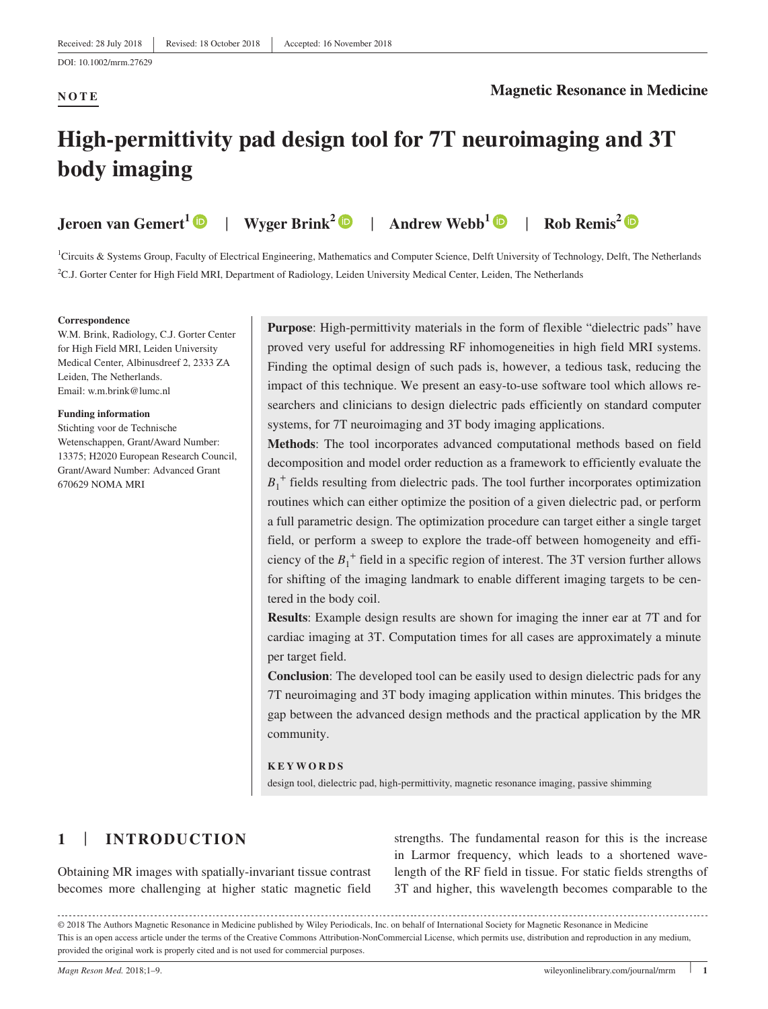### **NOTE**

#### **Magnetic Resonance in Medicine**

# **High‐permittivity pad design tool for 7T neuroimaging and 3T body imaging**

**Jeroen van Gemert[1](https://orcid.org/0000-0002-2692-9286)** | **Wyger Brink[2](https://orcid.org/0000-0001-9974-7662)** | **Andrew Webb[1](https://orcid.org/0000-0003-4045-9732)** | **Rob Remis2**

<sup>1</sup>Circuits & Systems Group, Faculty of Electrical Engineering, Mathematics and Computer Science, Delft University of Technology, Delft, The Netherlands 2 C.J. Gorter Center for High Field MRI, Department of Radiology, Leiden University Medical Center, Leiden, The Netherlands

#### **Correspondence**

W.M. Brink, Radiology, C.J. Gorter Center for High Field MRI, Leiden University Medical Center, Albinusdreef 2, 2333 ZA Leiden, The Netherlands. Email: [w.m.brink@lumc.nl](mailto:w.m.brink@lumc.nl)

#### **Funding information**

Stichting voor de Technische Wetenschappen, Grant/Award Number: 13375; H2020 European Research Council, Grant/Award Number: Advanced Grant 670629 NOMA MRI

**Purpose**: High-permittivity materials in the form of flexible "dielectric pads" have proved very useful for addressing RF inhomogeneities in high field MRI systems. Finding the optimal design of such pads is, however, a tedious task, reducing the impact of this technique. We present an easy-to-use software tool which allows researchers and clinicians to design dielectric pads efficiently on standard computer systems, for 7T neuroimaging and 3T body imaging applications.

**Methods**: The tool incorporates advanced computational methods based on field decomposition and model order reduction as a framework to efficiently evaluate the  $B_1$ <sup>+</sup> fields resulting from dielectric pads. The tool further incorporates optimization routines which can either optimize the position of a given dielectric pad, or perform a full parametric design. The optimization procedure can target either a single target field, or perform a sweep to explore the trade‐off between homogeneity and efficiency of the  $B_1^+$  field in a specific region of interest. The 3T version further allows for shifting of the imaging landmark to enable different imaging targets to be centered in the body coil.

**Results**: Example design results are shown for imaging the inner ear at 7T and for cardiac imaging at 3T. Computation times for all cases are approximately a minute per target field.

**Conclusion**: The developed tool can be easily used to design dielectric pads for any 7T neuroimaging and 3T body imaging application within minutes. This bridges the gap between the advanced design methods and the practical application by the MR community.

**KEYWORDS**

design tool, dielectric pad, high‐permittivity, magnetic resonance imaging, passive shimming

# **1** | **INTRODUCTION**

Obtaining MR images with spatially‐invariant tissue contrast becomes more challenging at higher static magnetic field

strengths. The fundamental reason for this is the increase in Larmor frequency, which leads to a shortened wavelength of the RF field in tissue. For static fields strengths of 3T and higher, this wavelength becomes comparable to the

© 2018 The Authors Magnetic Resonance in Medicine published by Wiley Periodicals, Inc. on behalf of International Society for Magnetic Resonance in Medicine This is an open access article under the terms of the Creative Commons Attribution-NonCommercial License, which permits use, distribution and reproduction in any medium, provided the original work is properly cited and is not used for commercial purposes.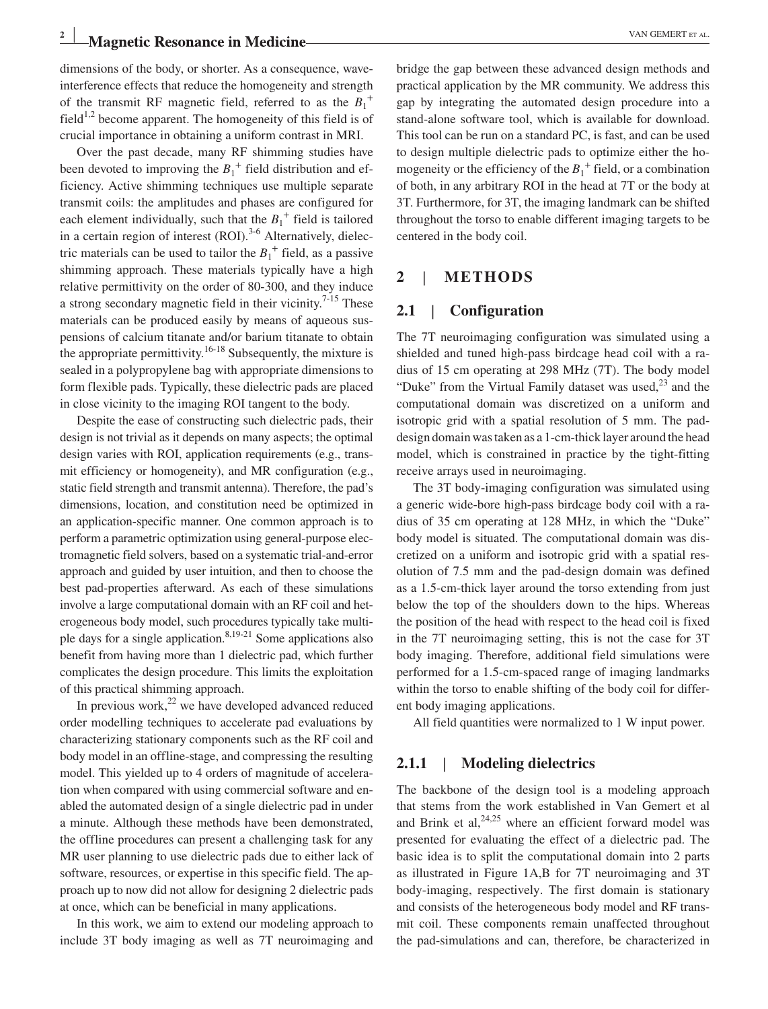# **Magnetic Resonance in Medicine** *Medicine VAN GEMERT ET AL.*

dimensions of the body, or shorter. As a consequence, waveinterference effects that reduce the homogeneity and strength of the transmit RF magnetic field, referred to as the  $B_1^+$ field<sup>1,2</sup> become apparent. The homogeneity of this field is of crucial importance in obtaining a uniform contrast in MRI.

Over the past decade, many RF shimming studies have been devoted to improving the  $B_1^+$  field distribution and efficiency. Active shimming techniques use multiple separate transmit coils: the amplitudes and phases are configured for each element individually, such that the  $B_1^+$  field is tailored in a certain region of interest  $(ROI)$ .<sup>3-6</sup> Alternatively, dielectric materials can be used to tailor the  $B_1^+$  field, as a passive shimming approach. These materials typically have a high relative permittivity on the order of 80‐300, and they induce a strong secondary magnetic field in their vicinity.<sup>7-15</sup> These materials can be produced easily by means of aqueous suspensions of calcium titanate and/or barium titanate to obtain the appropriate permittivity.<sup>16-18</sup> Subsequently, the mixture is sealed in a polypropylene bag with appropriate dimensions to form flexible pads. Typically, these dielectric pads are placed in close vicinity to the imaging ROI tangent to the body.

Despite the ease of constructing such dielectric pads, their design is not trivial as it depends on many aspects; the optimal design varies with ROI, application requirements (e.g., transmit efficiency or homogeneity), and MR configuration (e.g., static field strength and transmit antenna). Therefore, the pad's dimensions, location, and constitution need be optimized in an application‐specific manner. One common approach is to perform a parametric optimization using general‐purpose electromagnetic field solvers, based on a systematic trial‐and‐error approach and guided by user intuition, and then to choose the best pad‐properties afterward. As each of these simulations involve a large computational domain with an RF coil and heterogeneous body model, such procedures typically take multiple days for a single application. $8,19-21$  Some applications also benefit from having more than 1 dielectric pad, which further complicates the design procedure. This limits the exploitation of this practical shimming approach.

In previous work, $22$  we have developed advanced reduced order modelling techniques to accelerate pad evaluations by characterizing stationary components such as the RF coil and body model in an offline‐stage, and compressing the resulting model. This yielded up to 4 orders of magnitude of acceleration when compared with using commercial software and enabled the automated design of a single dielectric pad in under a minute. Although these methods have been demonstrated, the offline procedures can present a challenging task for any MR user planning to use dielectric pads due to either lack of software, resources, or expertise in this specific field. The approach up to now did not allow for designing 2 dielectric pads at once, which can be beneficial in many applications.

In this work, we aim to extend our modeling approach to include 3T body imaging as well as 7T neuroimaging and bridge the gap between these advanced design methods and practical application by the MR community. We address this gap by integrating the automated design procedure into a stand‐alone software tool, which is available for download. This tool can be run on a standard PC, is fast, and can be used to design multiple dielectric pads to optimize either the homogeneity or the efficiency of the  $B_1^+$  field, or a combination of both, in any arbitrary ROI in the head at 7T or the body at 3T. Furthermore, for 3T, the imaging landmark can be shifted throughout the torso to enable different imaging targets to be centered in the body coil.

#### **2** | **METHODS**

### **2.1** | **Configuration**

The 7T neuroimaging configuration was simulated using a shielded and tuned high-pass birdcage head coil with a radius of 15 cm operating at 298 MHz (7T). The body model "Duke" from the Virtual Family dataset was used, $^{23}$  and the computational domain was discretized on a uniform and isotropic grid with a spatial resolution of 5 mm. The paddesign domain was taken as a 1‐cm‐thick layer around the head model, which is constrained in practice by the tight‐fitting receive arrays used in neuroimaging.

The 3T body-imaging configuration was simulated using a generic wide‐bore high‐pass birdcage body coil with a radius of 35 cm operating at 128 MHz, in which the "Duke" body model is situated. The computational domain was discretized on a uniform and isotropic grid with a spatial resolution of 7.5 mm and the pad‐design domain was defined as a 1.5‐cm‐thick layer around the torso extending from just below the top of the shoulders down to the hips. Whereas the position of the head with respect to the head coil is fixed in the 7T neuroimaging setting, this is not the case for 3T body imaging. Therefore, additional field simulations were performed for a 1.5‐cm‐spaced range of imaging landmarks within the torso to enable shifting of the body coil for different body imaging applications.

All field quantities were normalized to 1 W input power.

#### **2.1.1** | **Modeling dielectrics**

The backbone of the design tool is a modeling approach that stems from the work established in Van Gemert et al and Brink et al,  $24,25$  where an efficient forward model was presented for evaluating the effect of a dielectric pad. The basic idea is to split the computational domain into 2 parts as illustrated in Figure 1A,B for 7T neuroimaging and 3T body‐imaging, respectively. The first domain is stationary and consists of the heterogeneous body model and RF transmit coil. These components remain unaffected throughout the pad‐simulations and can, therefore, be characterized in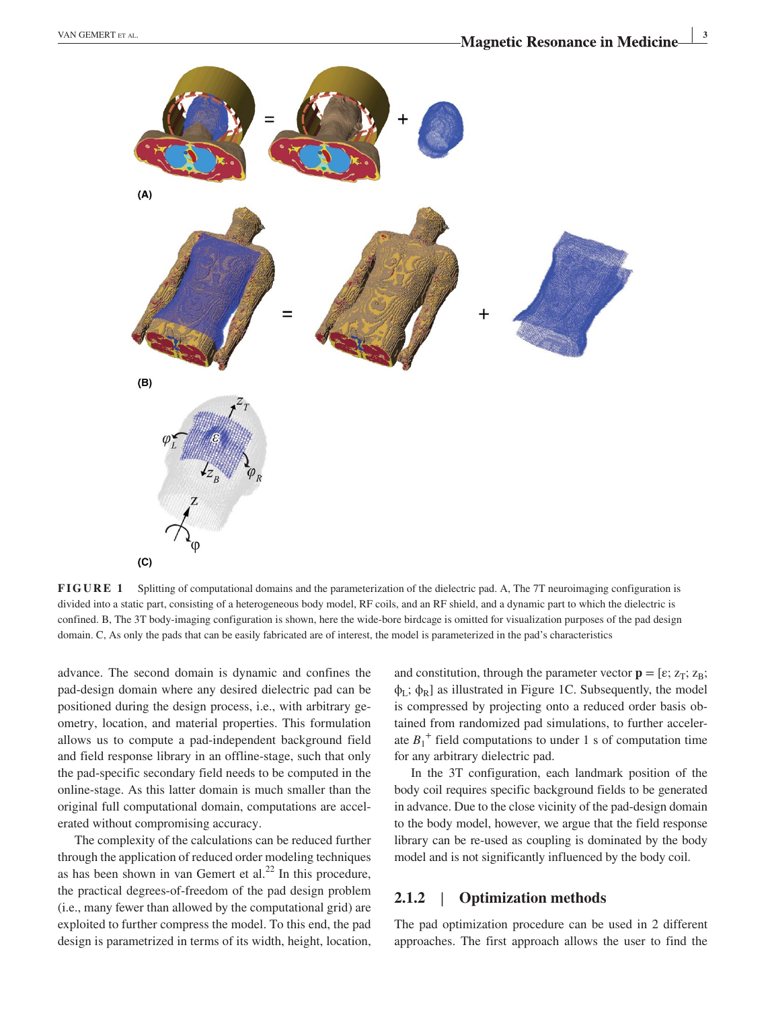

**FIGURE 1** Splitting of computational domains and the parameterization of the dielectric pad. A, The 7T neuroimaging configuration is divided into a static part, consisting of a heterogeneous body model, RF coils, and an RF shield, and a dynamic part to which the dielectric is confined. B, The 3T body-imaging configuration is shown, here the wide-bore birdcage is omitted for visualization purposes of the pad design domain. C, As only the pads that can be easily fabricated are of interest, the model is parameterized in the pad's characteristics

advance. The second domain is dynamic and confines the pad‐design domain where any desired dielectric pad can be positioned during the design process, i.e., with arbitrary geometry, location, and material properties. This formulation allows us to compute a pad‐independent background field and field response library in an offline‐stage, such that only the pad‐specific secondary field needs to be computed in the online‐stage. As this latter domain is much smaller than the original full computational domain, computations are accelerated without compromising accuracy.

The complexity of the calculations can be reduced further through the application of reduced order modeling techniques as has been shown in van Gemert et al. $^{22}$  In this procedure, the practical degrees‐of‐freedom of the pad design problem (i.e., many fewer than allowed by the computational grid) are exploited to further compress the model. To this end, the pad design is parametrized in terms of its width, height, location,

and constitution, through the parameter vector  $\mathbf{p} = [\varepsilon; z_T; z_B;$  $\phi_L$ ;  $\phi_R$ ] as illustrated in Figure 1C. Subsequently, the model is compressed by projecting onto a reduced order basis obtained from randomized pad simulations, to further accelerate  $B_1^+$  field computations to under 1 s of computation time for any arbitrary dielectric pad.

In the 3T configuration, each landmark position of the body coil requires specific background fields to be generated in advance. Due to the close vicinity of the pad‐design domain to the body model, however, we argue that the field response library can be re‐used as coupling is dominated by the body model and is not significantly influenced by the body coil.

### **2.1.2** | **Optimization methods**

The pad optimization procedure can be used in 2 different approaches. The first approach allows the user to find the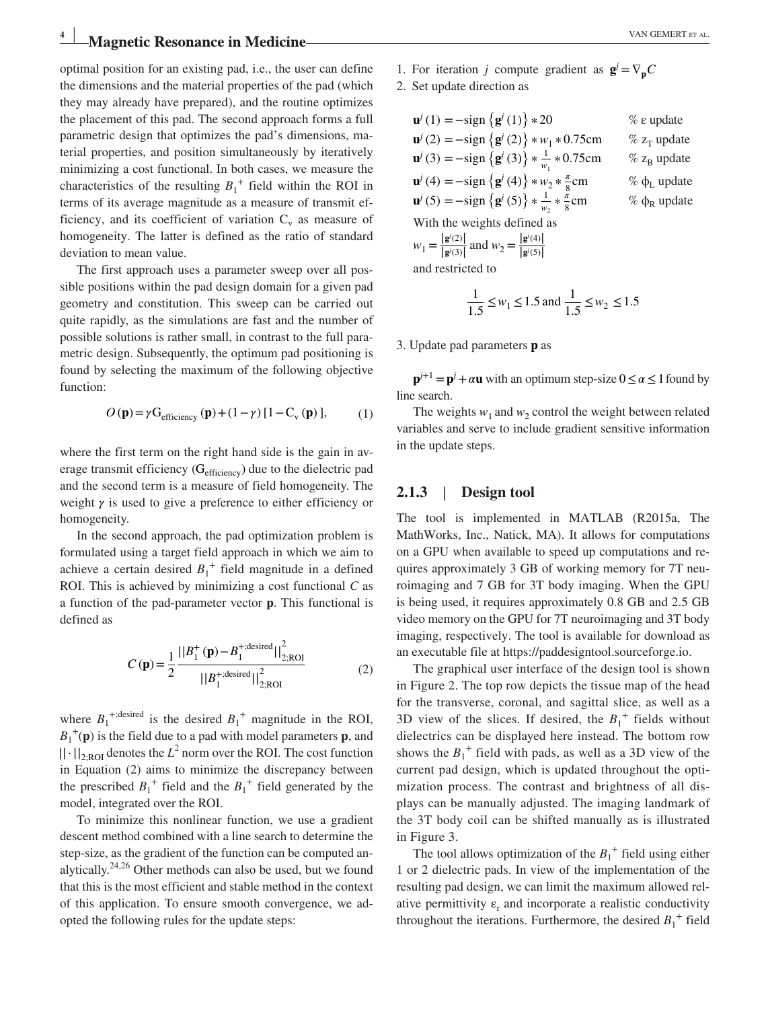# **Magnetic Resonance in Medicine** *Medicine VAN GEMERT ET AL.*

optimal position for an existing pad, i.e., the user can define the dimensions and the material properties of the pad (which they may already have prepared), and the routine optimizes the placement of this pad. The second approach forms a full parametric design that optimizes the pad's dimensions, material properties, and position simultaneously by iteratively minimizing a cost functional. In both cases, we measure the characteristics of the resulting  $B_1^+$  field within the ROI in terms of its average magnitude as a measure of transmit efficiency, and its coefficient of variation  $C_v$  as measure of homogeneity. The latter is defined as the ratio of standard deviation to mean value.

The first approach uses a parameter sweep over all possible positions within the pad design domain for a given pad geometry and constitution. This sweep can be carried out quite rapidly, as the simulations are fast and the number of possible solutions is rather small, in contrast to the full parametric design. Subsequently, the optimum pad positioning is found by selecting the maximum of the following objective function:

$$
O(\mathbf{p}) = \gamma G_{\text{efficiency}}(\mathbf{p}) + (1 - \gamma) \left[ 1 - C_{\text{v}}(\mathbf{p}) \right],\tag{1}
$$

where the first term on the right hand side is the gain in average transmit efficiency (Gefficiency) due to the dielectric pad and the second term is a measure of field homogeneity. The weight  $\gamma$  is used to give a preference to either efficiency or homogeneity.

In the second approach, the pad optimization problem is formulated using a target field approach in which we aim to achieve a certain desired  $B_1^+$  field magnitude in a defined ROI. This is achieved by minimizing a cost functional *C* as a function of the pad‐parameter vector **p**. This functional is defined as

$$
C(\mathbf{p}) = \frac{1}{2} \frac{||B_1^+(\mathbf{p}) - B_1^{+;desired}||_{2;ROI}^2}{||B_1^{+;desired}||_{2;ROI}^2}
$$
 (2)

where  $B_1^{+;desired}$  is the desired  $B_1^+$  magnitude in the ROI,  $B_1^{\dagger}(\mathbf{p})$  is the field due to a pad with model parameters **p**, and ||⋅||2;ROI denotes the *L*<sup>2</sup> norm over the ROI. The cost function in Equation (2) aims to minimize the discrepancy between the prescribed  $B_1^+$  field and the  $B_1^+$  field generated by the model, integrated over the ROI.

To minimize this nonlinear function, we use a gradient descent method combined with a line search to determine the step-size, as the gradient of the function can be computed analytically. $24,26$  Other methods can also be used, but we found that this is the most efficient and stable method in the context of this application. To ensure smooth convergence, we adopted the following rules for the update steps:

- 1. For iteration *j* compute gradient as  $g^{j} = \nabla_p C$
- 2. Set update direction as

| $\mathbf{u}^{j}(1) = -\text{sign} \left\{ \mathbf{g}^{j}(1) \right\} * 20$                              | $%$ $\varepsilon$ update        |
|---------------------------------------------------------------------------------------------------------|---------------------------------|
| $\mathbf{u}^{j}(2) = -\text{sign} \left\{ \mathbf{g}^{j}(2) \right\} * w_{1} * 0.75 \text{cm}$          | $\%$ z <sub>T</sub> update      |
| $\mathbf{u}^{j}(3) = -\text{sign} \left\{ \mathbf{g}^{j}(3) \right\} * \frac{1}{w_1} * 0.75 \text{cm}$  | $\%$ z <sub>B</sub> update      |
| $\mathbf{u}^{j}(4) = -\text{sign} \left\{ \mathbf{g}^{j}(4) \right\} * w_{2} * \frac{\pi}{8} \text{cm}$ | $\%$ $\phi$ <sub>L</sub> update |
| ${\bf u}^{j}(5) = -\text{sign}\left\{{\bf g}^{j}(5)\right\} * \frac{1}{w_0} * \frac{\pi}{8}$ cm         | $\%$ $\phi_R$ update            |
| With the weights defined as                                                                             |                                 |
| $w_1 = \frac{ \mathbf{g}'(2) }{ \mathbf{g}'(3) }$ and $w_2 = \frac{ \mathbf{g}'(4) }{ \mathbf{g}'(5) }$ |                                 |
|                                                                                                         |                                 |

and restricted to

$$
\frac{1}{1.5} \le w_1 \le 1.5 \text{ and } \frac{1}{1.5} \le w_2 \le 1.5
$$

3. Update pad parameters **p** as

 $\mathbf{p}^{j+1} = \mathbf{p}^j + \alpha \mathbf{u}$  with an optimum step-size  $0 \le \alpha \le 1$  found by line search.

The weights  $w_1$  and  $w_2$  control the weight between related variables and serve to include gradient sensitive information in the update steps.

#### **2.1.3** | **Design tool**

The tool is implemented in MATLAB (R2015a, The MathWorks, Inc., Natick, MA). It allows for computations on a GPU when available to speed up computations and requires approximately 3 GB of working memory for 7T neuroimaging and 7 GB for 3T body imaging. When the GPU is being used, it requires approximately 0.8 GB and 2.5 GB video memory on the GPU for 7T neuroimaging and 3T body imaging, respectively. The tool is available for download as an executable file at<https://paddesigntool.sourceforge.io>.

The graphical user interface of the design tool is shown in Figure 2. The top row depicts the tissue map of the head for the transverse, coronal, and sagittal slice, as well as a 3D view of the slices. If desired, the  $B_1^+$  fields without dielectrics can be displayed here instead. The bottom row shows the  $B_1^+$  field with pads, as well as a 3D view of the current pad design, which is updated throughout the optimization process. The contrast and brightness of all displays can be manually adjusted. The imaging landmark of the 3T body coil can be shifted manually as is illustrated in Figure 3.

The tool allows optimization of the  $B_1^+$  field using either 1 or 2 dielectric pads. In view of the implementation of the resulting pad design, we can limit the maximum allowed relative permittivity  $\varepsilon_r$  and incorporate a realistic conductivity throughout the iterations. Furthermore, the desired  $B_1^+$  field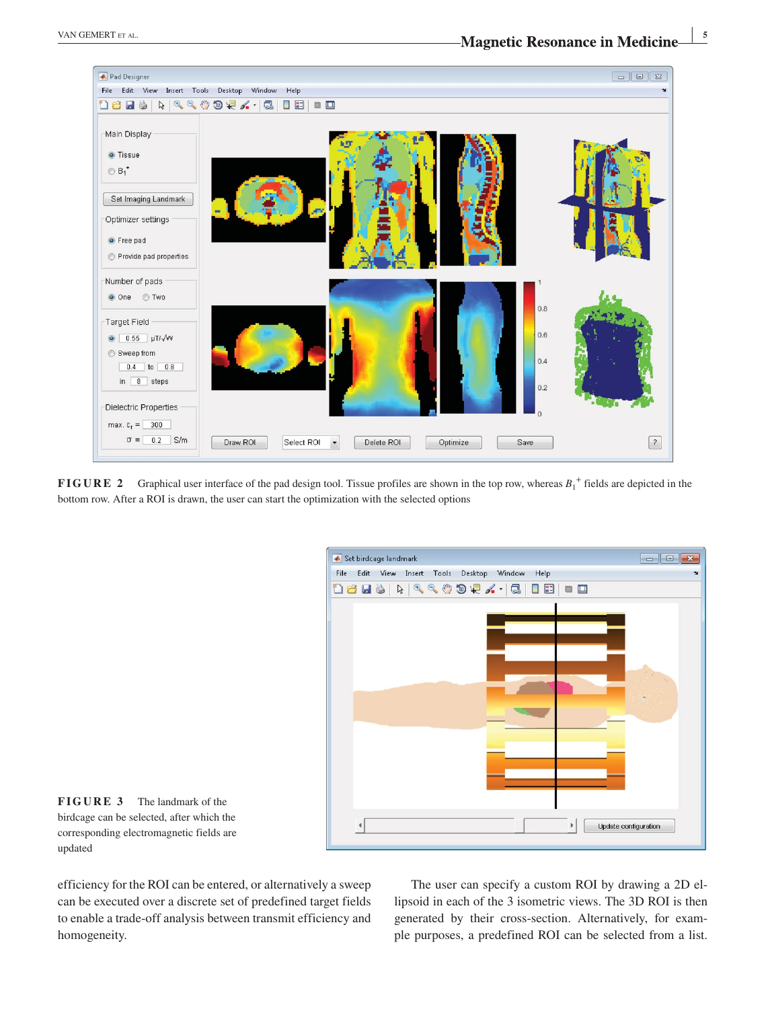

**FIGURE 2** Graphical user interface of the pad design tool. Tissue profiles are shown in the top row, whereas  $B_1^+$  fields are depicted in the bottom row. After a ROI is drawn, the user can start the optimization with the selected options



**FIGURE 3** The landmark of the birdcage can be selected, after which the corresponding electromagnetic fields are updated

efficiency for the ROI can be entered, or alternatively a sweep can be executed over a discrete set of predefined target fields to enable a trade‐off analysis between transmit efficiency and homogeneity.

The user can specify a custom ROI by drawing a 2D ellipsoid in each of the 3 isometric views. The 3D ROI is then generated by their cross‐section. Alternatively, for example purposes, a predefined ROI can be selected from a list.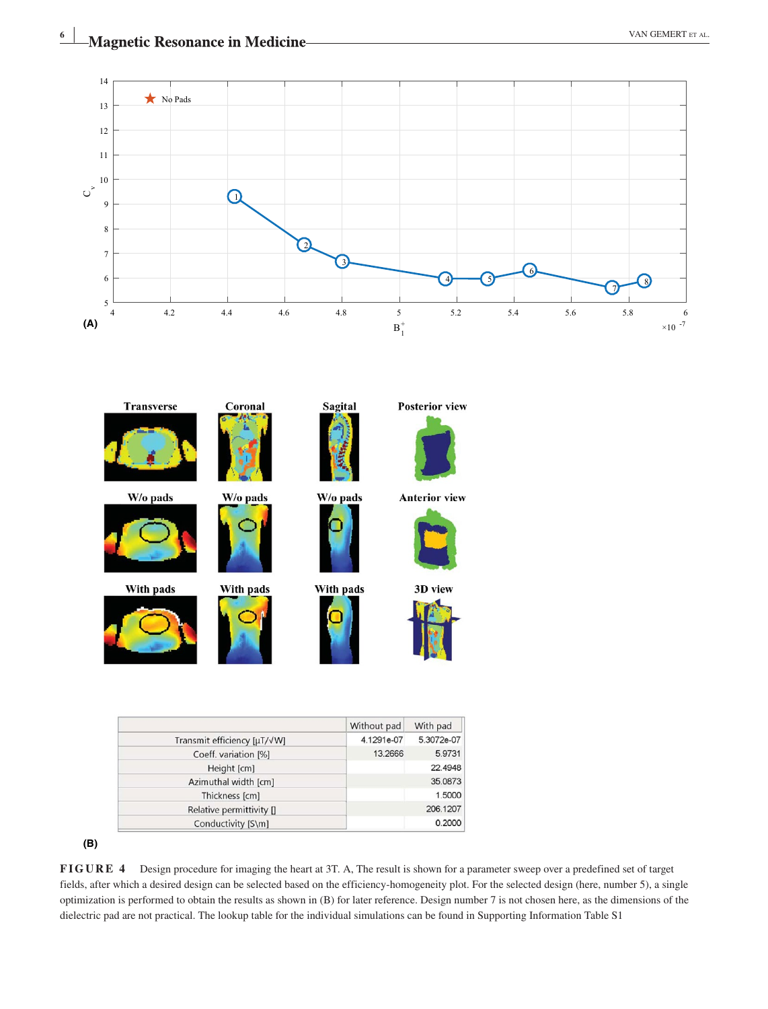

|                             | Without pad | With pad   |
|-----------------------------|-------------|------------|
| Transmit efficiency [µT/√W] | 4.1291e-07  | 5.3072e-07 |
| Coeff. variation [%]        | 13.2666     | 5.9731     |
| Height [cm]                 |             | 22.4948    |
| Azimuthal width [cm]        |             | 35.0873    |
| Thickness [cm]              |             | 1,5000     |
| Relative permittivity []    |             | 206.1207   |
| Conductivity [S\m]          |             | 0.2000     |

**<sup>(</sup>B)**

**FIGURE 4** Design procedure for imaging the heart at 3T. A, The result is shown for a parameter sweep over a predefined set of target fields, after which a desired design can be selected based on the efficiency-homogeneity plot. For the selected design (here, number 5), a single optimization is performed to obtain the results as shown in (B) for later reference. Design number 7 is not chosen here, as the dimensions of the dielectric pad are not practical. The lookup table for the individual simulations can be found in Supporting Information Table S1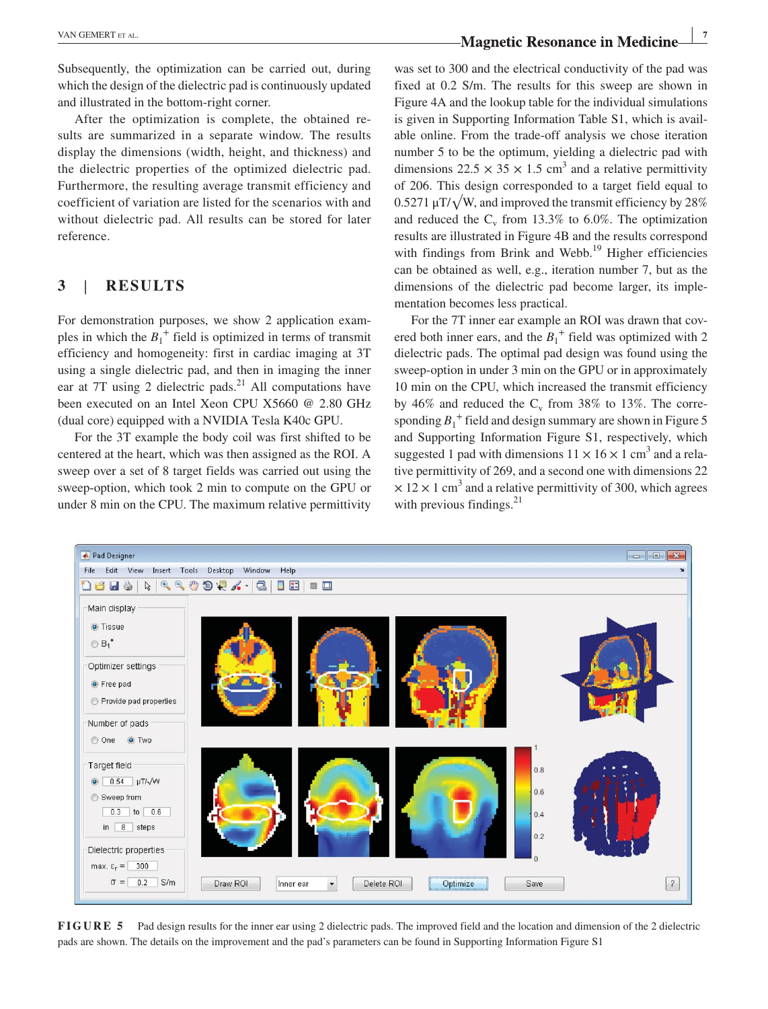Subsequently, the optimization can be carried out, during which the design of the dielectric pad is continuously updated and illustrated in the bottom‐right corner.

After the optimization is complete, the obtained results are summarized in a separate window. The results display the dimensions (width, height, and thickness) and the dielectric properties of the optimized dielectric pad. Furthermore, the resulting average transmit efficiency and coefficient of variation are listed for the scenarios with and without dielectric pad. All results can be stored for later reference.

# **3** | **RESULTS**

For demonstration purposes, we show 2 application examples in which the  $B_1^+$  field is optimized in terms of transmit efficiency and homogeneity: first in cardiac imaging at 3T using a single dielectric pad, and then in imaging the inner ear at 7T using 2 dielectric pads. $^{21}$  All computations have been executed on an Intel Xeon CPU X5660 @ 2.80 GHz (dual core) equipped with a NVIDIA Tesla K40c GPU.

For the 3T example the body coil was first shifted to be centered at the heart, which was then assigned as the ROI. A sweep over a set of 8 target fields was carried out using the sweep-option, which took 2 min to compute on the GPU or under 8 min on the CPU. The maximum relative permittivity was set to 300 and the electrical conductivity of the pad was fixed at 0.2 S/m. The results for this sweep are shown in Figure 4A and the lookup table for the individual simulations is given in Supporting Information Table S1, which is available online. From the trade‐off analysis we chose iteration number 5 to be the optimum, yielding a dielectric pad with dimensions  $22.5 \times 35 \times 1.5$  cm<sup>3</sup> and a relative permittivity of 206. This design corresponded to a target field equal to  $0.5271 \mu T/\sqrt{W}$ , and improved the transmit efficiency by 28% and reduced the  $C_v$  from 13.3% to 6.0%. The optimization results are illustrated in Figure 4B and the results correspond with findings from Brink and Webb.<sup>19</sup> Higher efficiencies can be obtained as well, e.g., iteration number 7, but as the dimensions of the dielectric pad become larger, its implementation becomes less practical.

For the 7T inner ear example an ROI was drawn that covered both inner ears, and the  $B_1^+$  field was optimized with 2 dielectric pads. The optimal pad design was found using the sweep-option in under 3 min on the GPU or in approximately 10 min on the CPU, which increased the transmit efficiency by 46% and reduced the  $C_v$  from 38% to 13%. The corresponding  $B_1$ <sup>+</sup> field and design summary are shown in Figure 5 and Supporting Information Figure S1, respectively, which suggested 1 pad with dimensions  $11 \times 16 \times 1$  cm<sup>3</sup> and a relative permittivity of 269, and a second one with dimensions 22  $\times$  12  $\times$  1 cm<sup>3</sup> and a relative permittivity of 300, which agrees with previous findings.<sup>21</sup>



**FIGURE 5** Pad design results for the inner ear using 2 dielectric pads. The improved field and the location and dimension of the 2 dielectric pads are shown. The details on the improvement and the pad's parameters can be found in Supporting Information Figure S1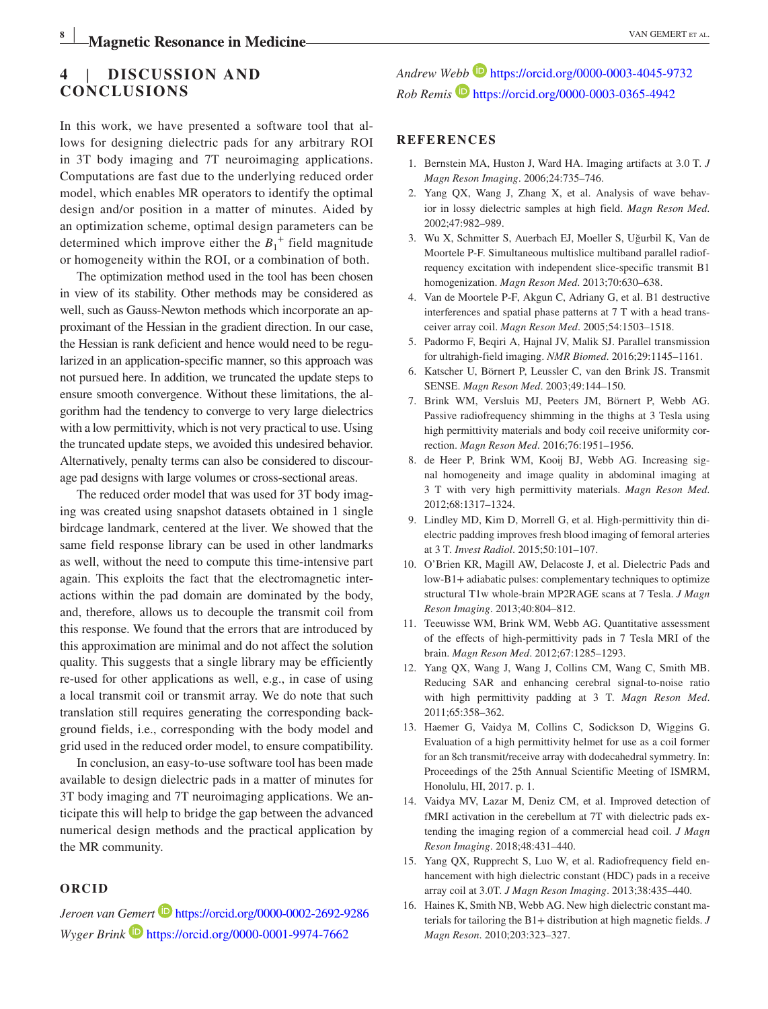# **4** | **DISCUSSION AND CONCLUSIONS**

In this work, we have presented a software tool that allows for designing dielectric pads for any arbitrary ROI in 3T body imaging and 7T neuroimaging applications. Computations are fast due to the underlying reduced order model, which enables MR operators to identify the optimal design and/or position in a matter of minutes. Aided by an optimization scheme, optimal design parameters can be determined which improve either the  $B_1^+$  field magnitude or homogeneity within the ROI, or a combination of both.

The optimization method used in the tool has been chosen in view of its stability. Other methods may be considered as well, such as Gauss‐Newton methods which incorporate an approximant of the Hessian in the gradient direction. In our case, the Hessian is rank deficient and hence would need to be regularized in an application‐specific manner, so this approach was not pursued here. In addition, we truncated the update steps to ensure smooth convergence. Without these limitations, the algorithm had the tendency to converge to very large dielectrics with a low permittivity, which is not very practical to use. Using the truncated update steps, we avoided this undesired behavior. Alternatively, penalty terms can also be considered to discourage pad designs with large volumes or cross‐sectional areas.

The reduced order model that was used for 3T body imaging was created using snapshot datasets obtained in 1 single birdcage landmark, centered at the liver. We showed that the same field response library can be used in other landmarks as well, without the need to compute this time‐intensive part again. This exploits the fact that the electromagnetic interactions within the pad domain are dominated by the body, and, therefore, allows us to decouple the transmit coil from this response. We found that the errors that are introduced by this approximation are minimal and do not affect the solution quality. This suggests that a single library may be efficiently re‐used for other applications as well, e.g., in case of using a local transmit coil or transmit array. We do note that such translation still requires generating the corresponding background fields, i.e., corresponding with the body model and grid used in the reduced order model, to ensure compatibility.

In conclusion, an easy‐to‐use software tool has been made available to design dielectric pads in a matter of minutes for 3T body imaging and 7T neuroimaging applications. We anticipate this will help to bridge the gap between the advanced numerical design methods and the practical application by the MR community.

#### **ORCID**

*Jeroen van Gemer[t](https://orcid.org/0000-0002-2692-9286)* <https://orcid.org/0000-0002-2692-9286> *Wyger Brink* <https://orcid.org/0000-0001-9974-7662>

*Andrew Webb* <https://orcid.org/0000-0003-4045-9732> *Rob Remis* <https://orcid.org/0000-0003-0365-4942>

#### **REFERENCES**

- 1. Bernstein MA, Huston J, Ward HA. Imaging artifacts at 3.0 T. *J Magn Reson Imaging*. 2006;24:735–746.
- 2. Yang QX, Wang J, Zhang X, et al. Analysis of wave behavior in lossy dielectric samples at high field. *Magn Reson Med*. 2002;47:982–989.
- 3. Wu X, Schmitter S, Auerbach EJ, Moeller S, Uğurbil K, Van de Moortele P‐F. Simultaneous multislice multiband parallel radiofrequency excitation with independent slice‐specific transmit B1 homogenization. *Magn Reson Med*. 2013;70:630–638.
- 4. Van de Moortele P‐F, Akgun C, Adriany G, et al. B1 destructive interferences and spatial phase patterns at 7 T with a head transceiver array coil. *Magn Reson Med*. 2005;54:1503–1518.
- 5. Padormo F, Beqiri A, Hajnal JV, Malik SJ. Parallel transmission for ultrahigh‐field imaging. *NMR Biomed*. 2016;29:1145–1161.
- 6. Katscher U, Börnert P, Leussler C, van den Brink JS. Transmit SENSE. *Magn Reson Med*. 2003;49:144–150.
- 7. Brink WM, Versluis MJ, Peeters JM, Börnert P, Webb AG. Passive radiofrequency shimming in the thighs at 3 Tesla using high permittivity materials and body coil receive uniformity correction. *Magn Reson Med*. 2016;76:1951–1956.
- 8. de Heer P, Brink WM, Kooij BJ, Webb AG. Increasing signal homogeneity and image quality in abdominal imaging at 3 T with very high permittivity materials. *Magn Reson Med*. 2012;68:1317–1324.
- 9. Lindley MD, Kim D, Morrell G, et al. High-permittivity thin dielectric padding improves fresh blood imaging of femoral arteries at 3 T. *Invest Radiol*. 2015;50:101–107.
- 10. O'Brien KR, Magill AW, Delacoste J, et al. Dielectric Pads and low‐B1+ adiabatic pulses: complementary techniques to optimize structural T1w whole‐brain MP2RAGE scans at 7 Tesla. *J Magn Reson Imaging*. 2013;40:804–812.
- 11. Teeuwisse WM, Brink WM, Webb AG. Quantitative assessment of the effects of high‐permittivity pads in 7 Tesla MRI of the brain. *Magn Reson Med*. 2012;67:1285–1293.
- 12. Yang QX, Wang J, Wang J, Collins CM, Wang C, Smith MB. Reducing SAR and enhancing cerebral signal-to-noise ratio with high permittivity padding at 3 T. *Magn Reson Med*. 2011;65:358–362.
- 13. Haemer G, Vaidya M, Collins C, Sodickson D, Wiggins G. Evaluation of a high permittivity helmet for use as a coil former for an 8ch transmit/receive array with dodecahedral symmetry. In: Proceedings of the 25th Annual Scientific Meeting of ISMRM, Honolulu, HI, 2017. p. 1.
- 14. Vaidya MV, Lazar M, Deniz CM, et al. Improved detection of fMRI activation in the cerebellum at 7T with dielectric pads extending the imaging region of a commercial head coil. *J Magn Reson Imaging*. 2018;48:431–440.
- 15. Yang QX, Rupprecht S, Luo W, et al. Radiofrequency field enhancement with high dielectric constant (HDC) pads in a receive array coil at 3.0T. *J Magn Reson Imaging*. 2013;38:435–440.
- 16. Haines K, Smith NB, Webb AG. New high dielectric constant materials for tailoring the B1+ distribution at high magnetic fields. *J Magn Reson*. 2010;203:323–327.